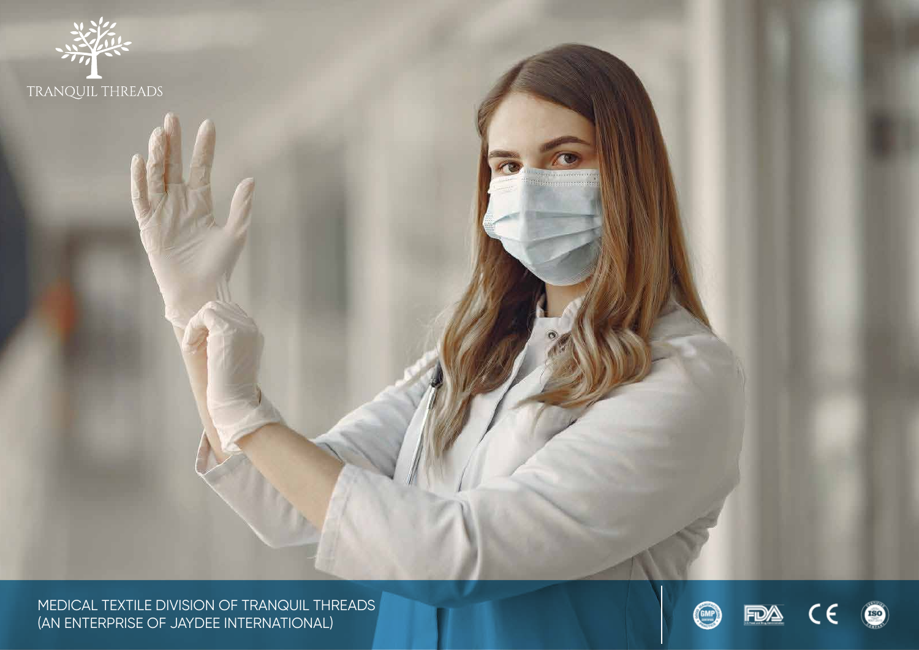

MEDICAL TEXTILE DIVISION OF TRANQUIL THREADS (AN ENTERPRISE OF JAYDEE INTERNATIONAL)

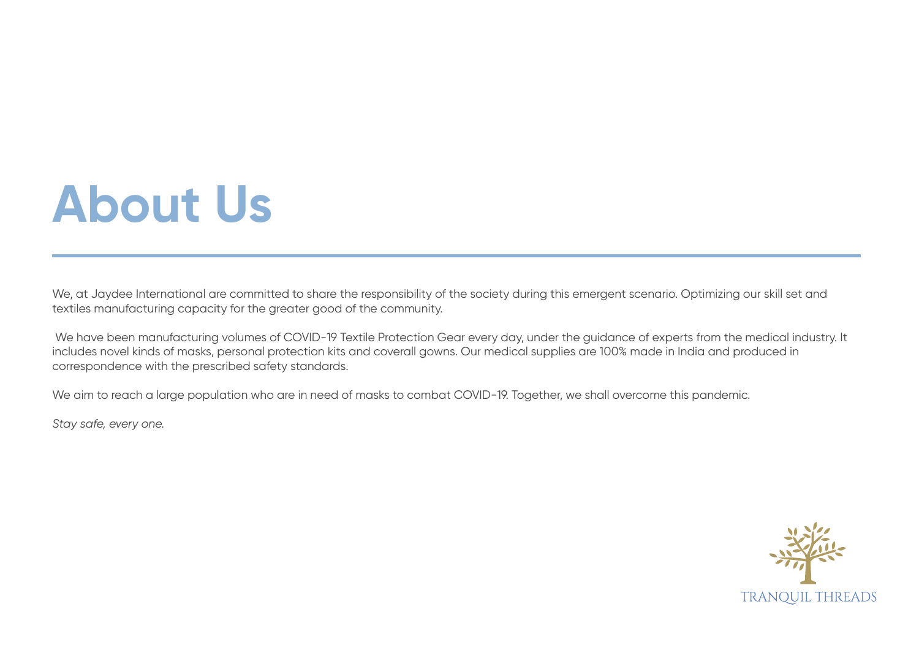## **About Us**

We, at Jaydee International are committed to share the responsibility of the society during this emergent scenario. Optimizing our skill set and textiles manufacturing capacity for the greater good of the community.

 We have been manufacturing volumes of COVID-19 Textile Protection Gear every day, under the guidance of experts from the medical industry. It includes novel kinds of masks, personal protection kits and coverall gowns. Our medical supplies are 100% made in India and produced in correspondence with the prescribed safety standards.

We aim to reach a large population who are in need of masks to combat COVID-19. Together, we shall overcome this pandemic.

*Stay safe, every one.*

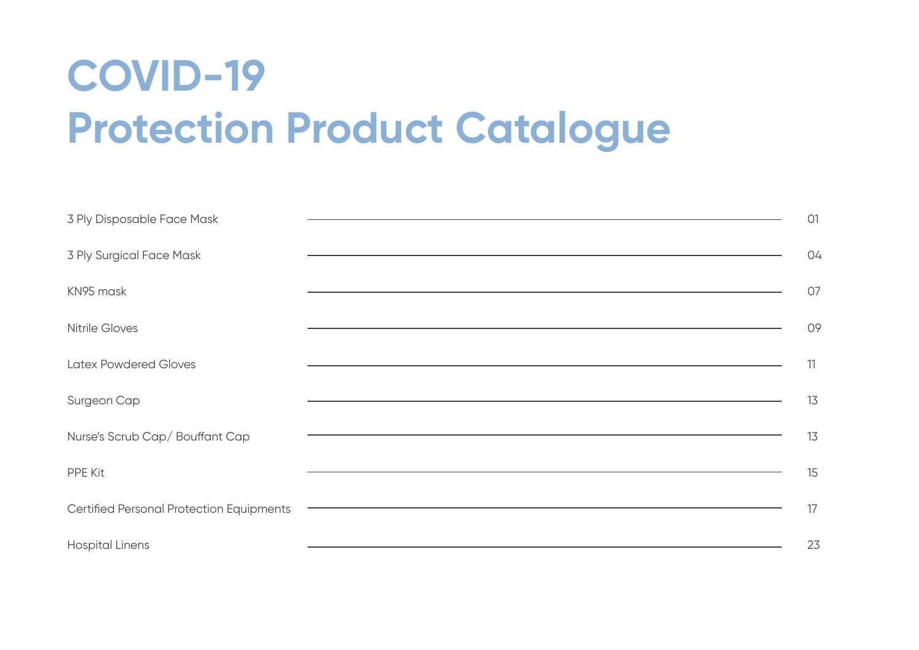### **COVID-19 Protection Product Catalogue**

| 3 Ply Disposable Face Mask               | 01                                                                                                                          |  |
|------------------------------------------|-----------------------------------------------------------------------------------------------------------------------------|--|
| 3 Ply Surgical Face Mask                 | 04                                                                                                                          |  |
| KN95 mask                                | 07                                                                                                                          |  |
| <b>Nitrile Gloves</b>                    | 09                                                                                                                          |  |
| <b>Latex Powdered Gloves</b>             | 11<br><u> 1989 - Johann Stoff, deutscher Stoff, der Stoff, der Stoff, der Stoff, der Stoff, der Stoff, der Stoff, der S</u> |  |
| Surgeon Cap                              | 13                                                                                                                          |  |
| Nurse's Scrub Cap/ Bouffant Cap          | 13                                                                                                                          |  |
| PPE Kit                                  | 15                                                                                                                          |  |
| Certified Personal Protection Equipments | 17                                                                                                                          |  |
| <b>Hospital Linens</b>                   | 23                                                                                                                          |  |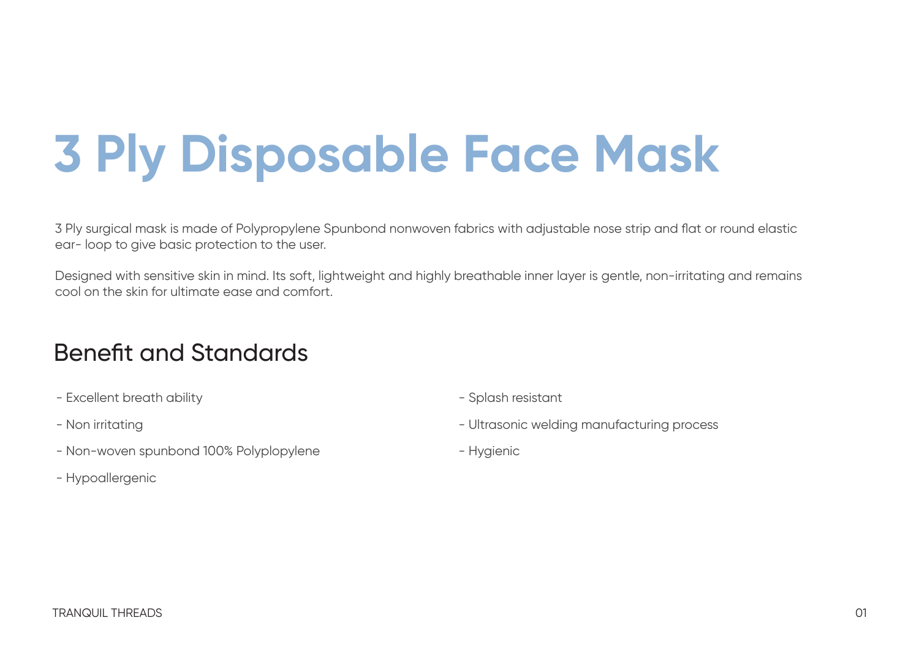# **3 Ply Disposable Face Mask**

3 Ply surgical mask is made of Polypropylene Spunbond nonwoven fabrics with adjustable nose strip and flat or round elastic ear- loop to give basic protection to the user.

Designed with sensitive skin in mind. Its soft, lightweight and highly breathable inner layer is gentle, non-irritating and remains cool on the skin for ultimate ease and comfort.

#### Benefit and Standards

- Excellent breath ability
- Non irritating
- Non-woven spunbond 100% Polyplopylene
- Hypoallergenic
- Splash resistant
- Ultrasonic welding manufacturing process
- Hygienic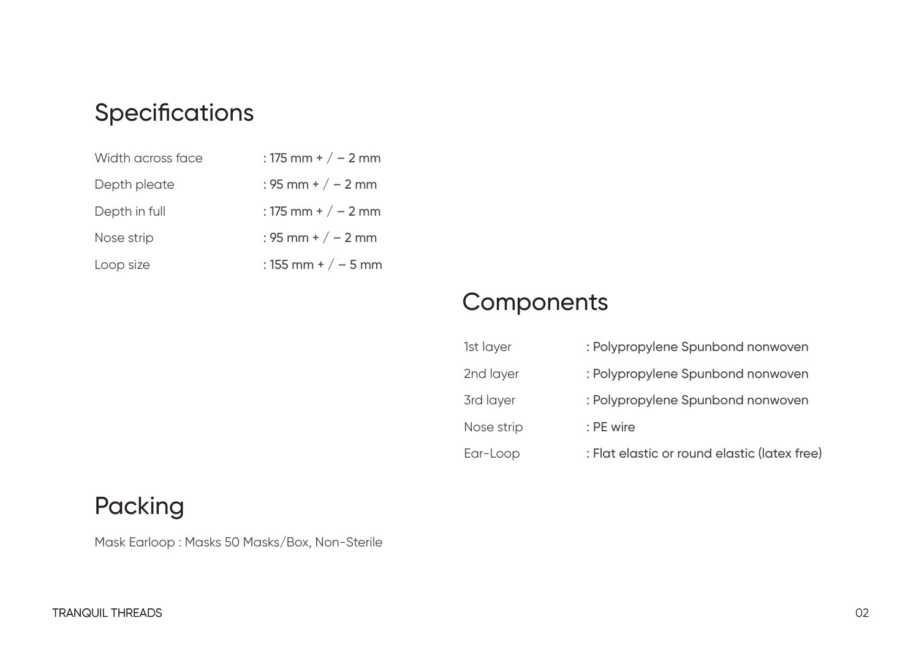#### **Specifications**

| Width across face | : 175 mm + $/ - 2$ mm |
|-------------------|-----------------------|
| Depth pleate      | : 95 mm + $/ - 2$ mm  |
| Depth in full     | : 175 mm + $/ - 2$ mm |
| Nose strip        | : 95 mm + $/ - 2$ mm  |
| Loop size         | : 155 mm + $/ - 5$ mm |

#### **Components**

| 1st layer  | : Polypropylene Spunbond nonwoven            |
|------------|----------------------------------------------|
| 2nd layer  | : Polypropylene Spunbond nonwoven            |
| 3rd layer  | : Polypropylene Spunbond nonwoven            |
| Nose strip | : PE wire                                    |
| Ear-Loop   | : Flat elastic or round elastic (latex free) |

#### Packing

Mask Earloop : Masks 50 Masks/Box, Non-Sterile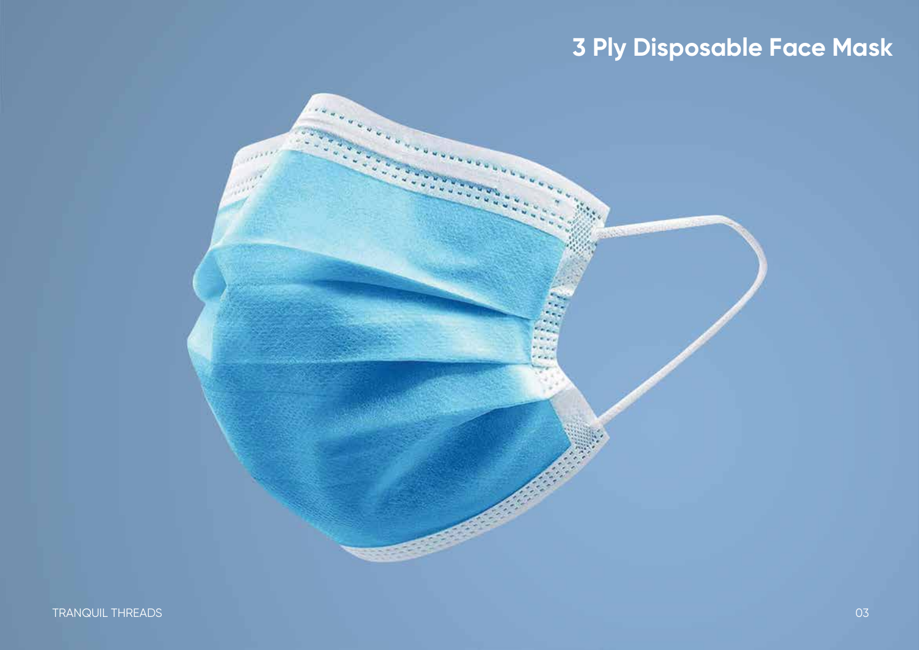### **3 Ply Disposable Face Mask**

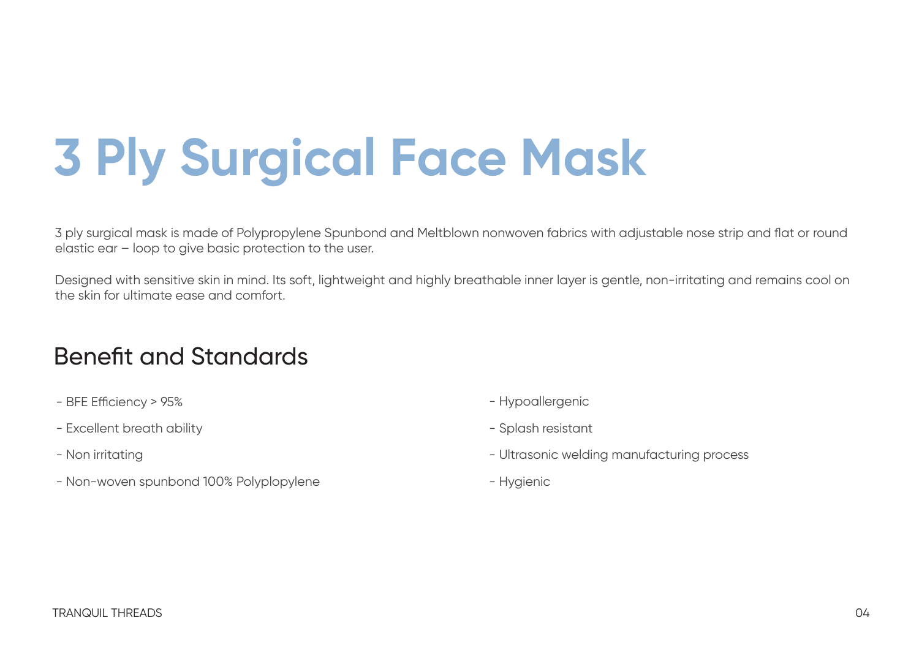# **3 Ply Surgical Face Mask**

3 ply surgical mask is made of Polypropylene Spunbond and Meltblown nonwoven fabrics with adjustable nose strip and flat or round elastic ear – loop to give basic protection to the user.

Designed with sensitive skin in mind. Its soft, lightweight and highly breathable inner layer is gentle, non-irritating and remains cool on the skin for ultimate ease and comfort.

#### Benefit and Standards

- BFE Efficiency > 95%
- Excellent breath ability
- Non irritating
- Non-woven spunbond 100% Polyplopylene
- Hypoallergenic
- Splash resistant
- Ultrasonic welding manufacturing process
- Hygienic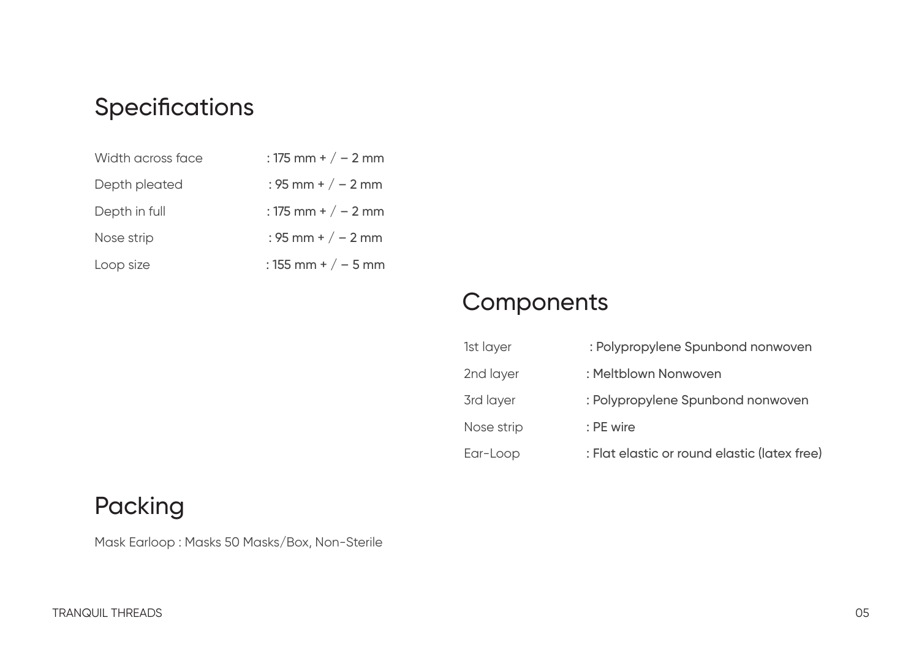#### **Specifications**

| Width across face | : 175 mm + $/ - 2$ mm |
|-------------------|-----------------------|
| Depth pleated     | : 95 mm + $/ - 2$ mm  |
| Depth in full     | : 175 mm + $/ - 2$ mm |
| Nose strip        | : 95 mm + $/ - 2$ mm  |
| Loop size         | : 155 mm + $/ - 5$ mm |

#### **Components**

| 1st layer  | : Polypropylene Spunbond nonwoven            |
|------------|----------------------------------------------|
| 2nd layer  | : Meltblown Nonwoven                         |
| 3rd layer  | : Polypropylene Spunbond nonwoven            |
| Nose strip | : PE wire                                    |
| Ear-Loop   | : Flat elastic or round elastic (latex free) |

#### Packing

Mask Earloop : Masks 50 Masks/Box, Non-Sterile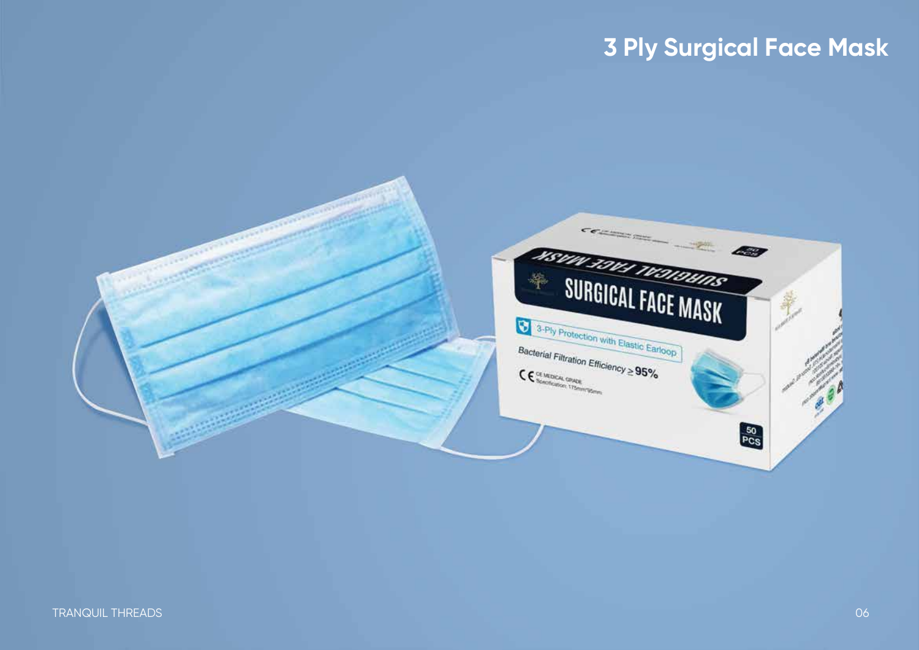### **3 Ply Surgical Face Mask**

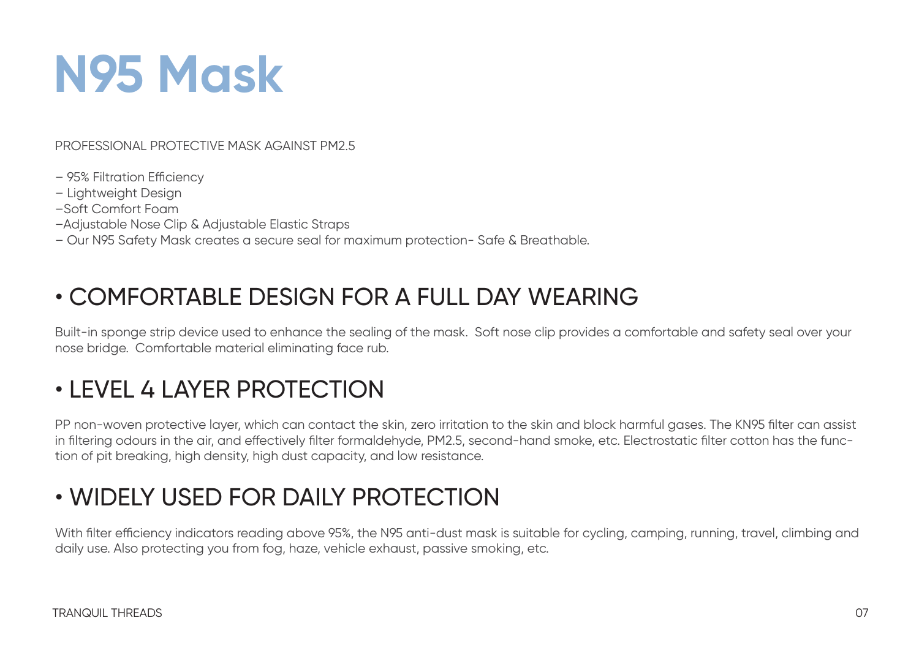# **N95 Mask**

PROFESSIONAL PROTECTIVE MASK AGAINST PM2.5

- 95% Filtration Efficiencv
- Lightweight Design
- –Soft Comfort Foam
- –Adjustable Nose Clip & Adjustable Elastic Straps

– Our N95 Safety Mask creates a secure seal for maximum protection- Safe & Breathable.

### • COMFORTABLE DESIGN FOR A FULL DAY WEARING

Built-in sponge strip device used to enhance the sealing of the mask. Soft nose clip provides a comfortable and safety seal over your nose bridge. Comfortable material eliminating face rub.

### • LEVEL 4 LAYER PROTECTION

PP non-woven protective layer, which can contact the skin, zero irritation to the skin and block harmful gases. The KN95 filter can assist in filtering odours in the air, and effectively filter formaldehyde, PM2.5, second-hand smoke, etc. Electrostatic filter cotton has the function of pit breaking, high density, high dust capacity, and low resistance.

### • WIDELY USED FOR DAILY PROTECTION

With filter efficiency indicators reading above 95%, the N95 anti-dust mask is suitable for cycling, camping, running, travel, climbing and daily use. Also protecting you from fog, haze, vehicle exhaust, passive smoking, etc.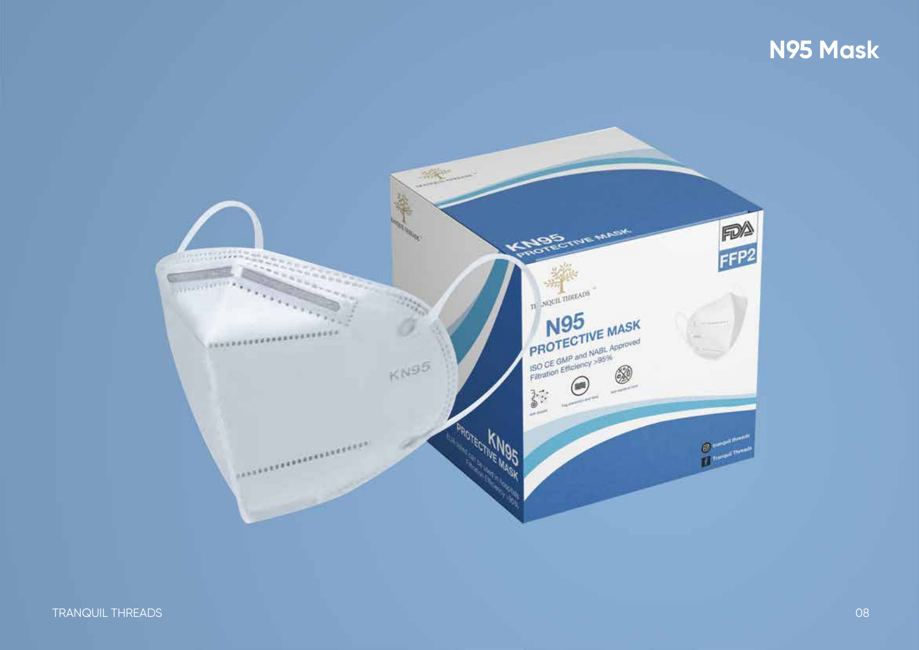### N95 Mask

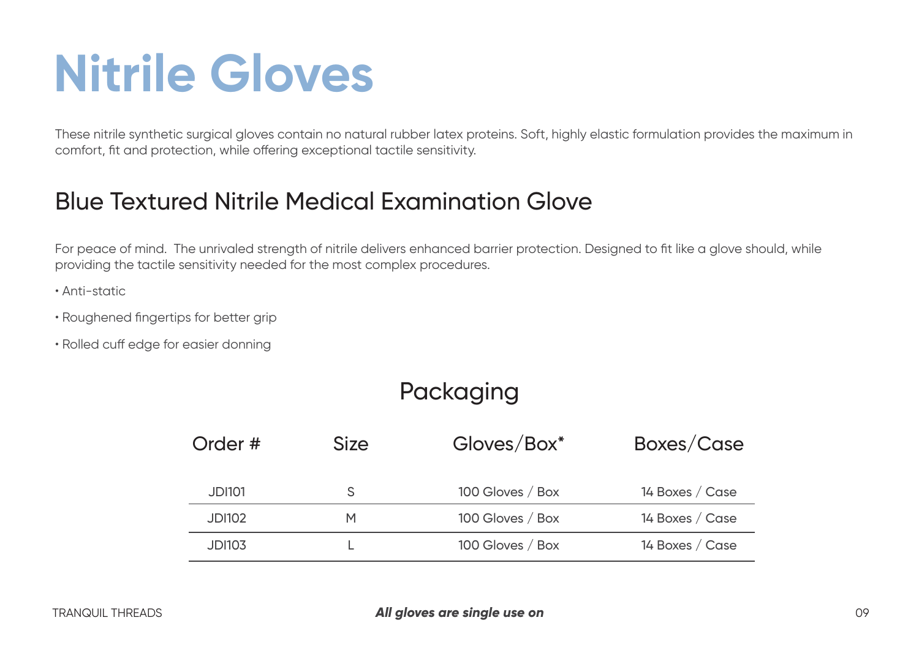# **Nitrile Gloves**

These nitrile synthetic surgical gloves contain no natural rubber latex proteins. Soft, highly elastic formulation provides the maximum in comfort, fit and protection, while offering exceptional tactile sensitivity.

#### Blue Textured Nitrile Medical Examination Glove

For peace of mind. The unrivaled strength of nitrile delivers enhanced barrier protection. Designed to fit like a glove should, while providing the tactile sensitivity needed for the most complex procedures.

- Anti-static
- Roughened fingertips for better grip
- Rolled cuff edge for easier donning

### Packaging

| Order #       | <b>Size</b> | Gloves/Box*      | Boxes/Case      |
|---------------|-------------|------------------|-----------------|
| JDI101        |             | 100 Gloves / Box | 14 Boxes / Case |
| <b>JDI102</b> | M           | 100 Gloves / Box | 14 Boxes / Case |
| <b>JDI103</b> |             | 100 Gloves / Box | 14 Boxes / Case |
|               |             |                  |                 |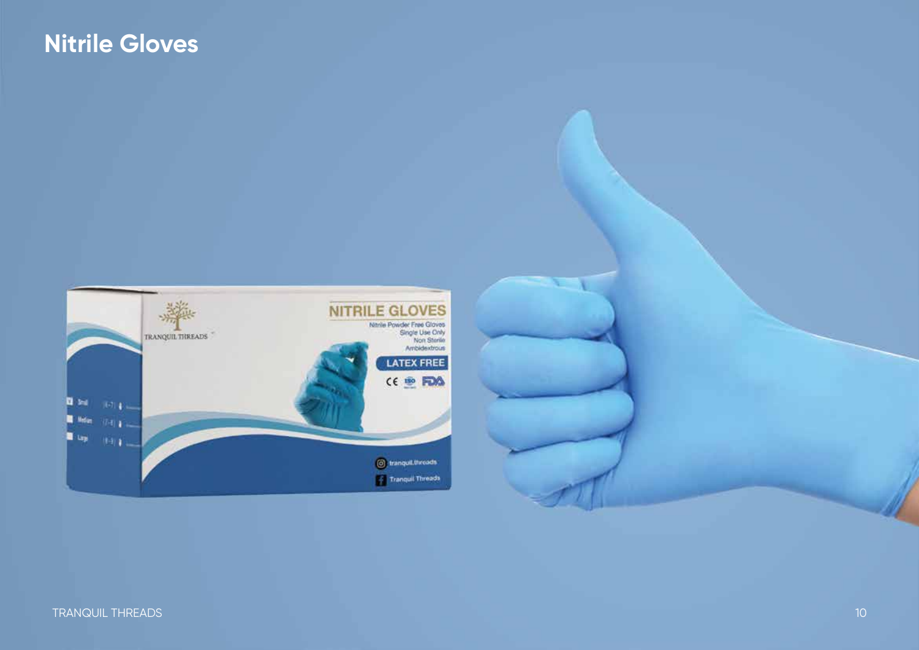### **Nitrile Gloves**



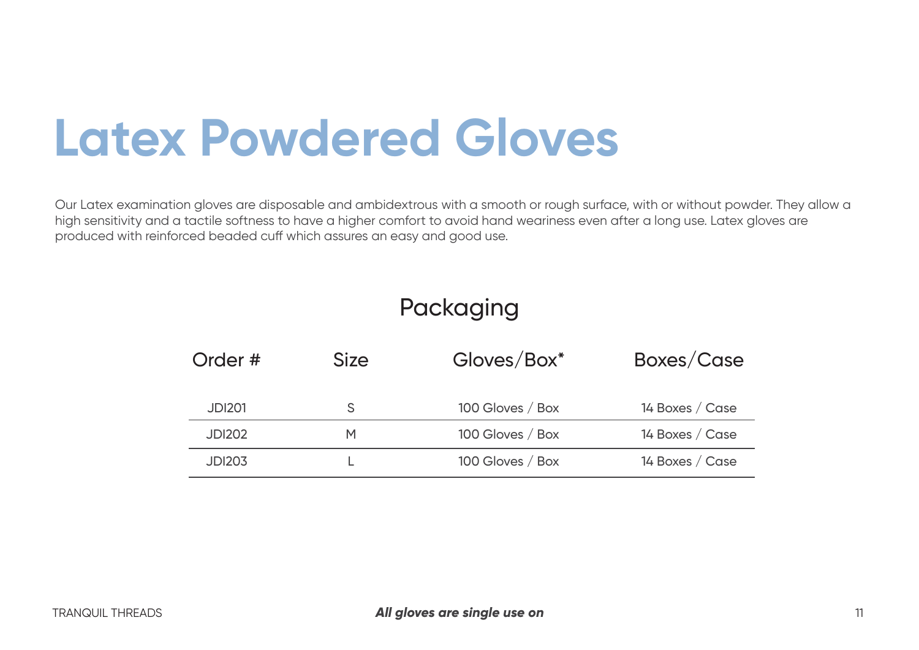# **Latex Powdered Gloves**

Our Latex examination gloves are disposable and ambidextrous with a smooth or rough surface, with or without powder. They allow a high sensitivity and a tactile softness to have a higher comfort to avoid hand weariness even after a long use. Latex gloves are produced with reinforced beaded cuff which assures an easy and good use.

#### Packaging

| Order #       | <b>Size</b> | Gloves/Box*      | Boxes/Case      |
|---------------|-------------|------------------|-----------------|
| <b>JDI201</b> |             | 100 Gloves / Box | 14 Boxes / Case |
| <b>JDI202</b> | м           | 100 Gloves / Box | 14 Boxes / Case |
| <b>JDI203</b> |             | 100 Gloves / Box | 14 Boxes / Case |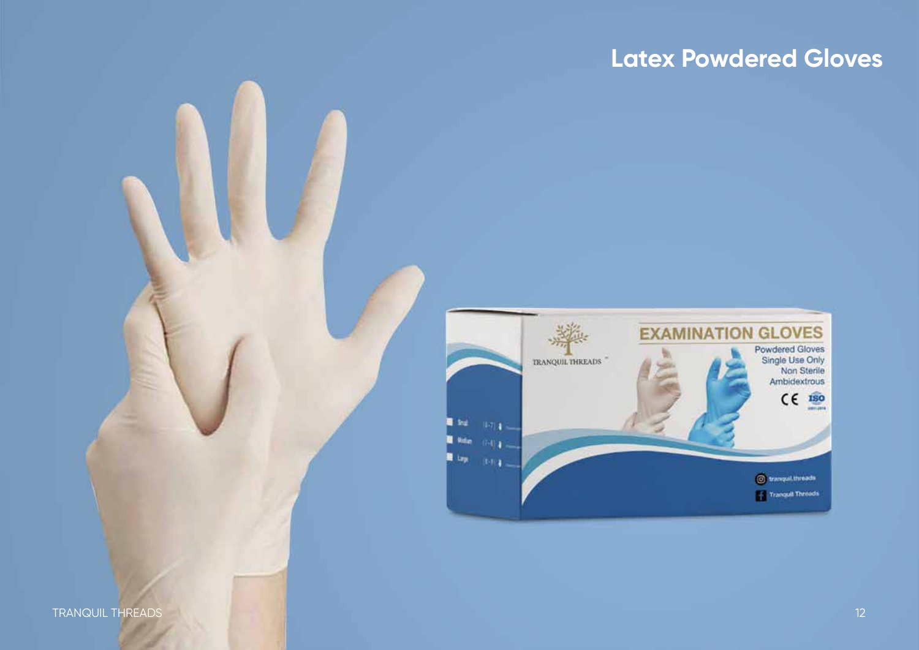#### **Latex Powdered Gloves**

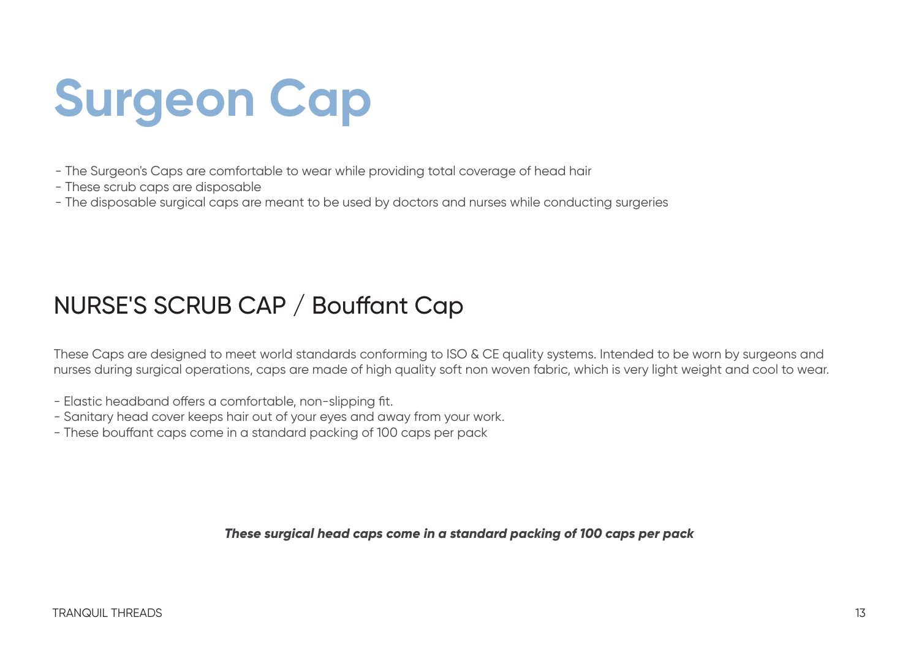# **Surgeon Cap**

- The Surgeon's Caps are comfortable to wear while providing total coverage of head hair
- These scrub caps are disposable
- The disposable surgical caps are meant to be used by doctors and nurses while conducting surgeries

### NURSE'S SCRUB CAP / Bouffant Cap

These Caps are designed to meet world standards conforming to ISO & CE quality systems. Intended to be worn by surgeons and nurses during surgical operations, caps are made of high quality soft non woven fabric, which is very light weight and cool to wear.

- Elastic headband offers a comfortable, non-slipping fit.
- Sanitary head cover keeps hair out of your eyes and away from your work.
- These bouffant caps come in a standard packing of 100 caps per pack

*These surgical head caps come in a standard packing of 100 caps per pack*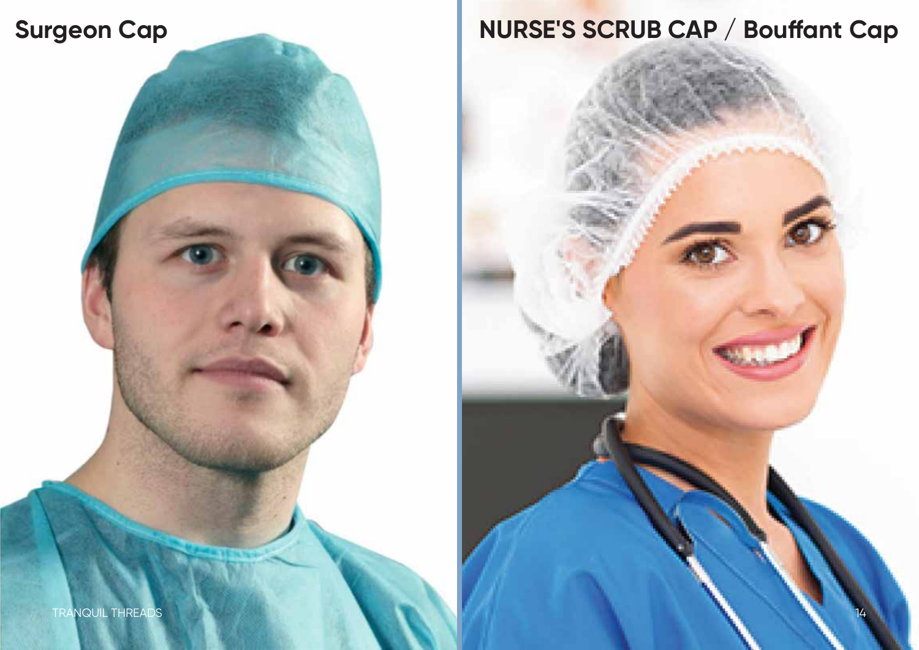

**Latex Powdered Gloves**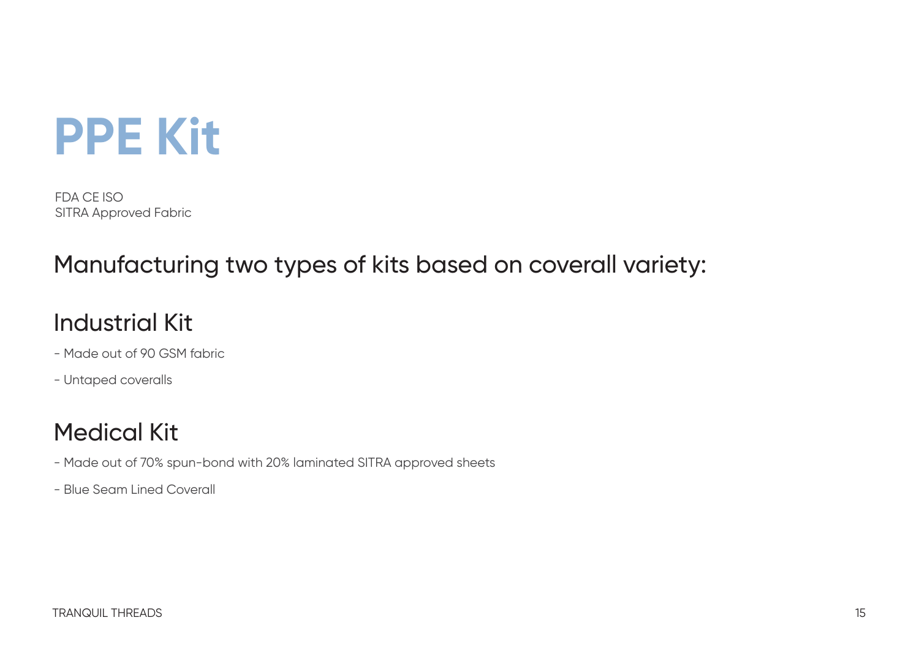

FDA CE ISO SITRA Approved Fabric

#### Manufacturing two types of kits based on coverall variety:

#### Industrial Kit

- Made out of 90 GSM fabric
- Untaped coveralls

### Medical Kit

- Made out of 70% spun-bond with 20% laminated SITRA approved sheets
- Blue Seam Lined Coverall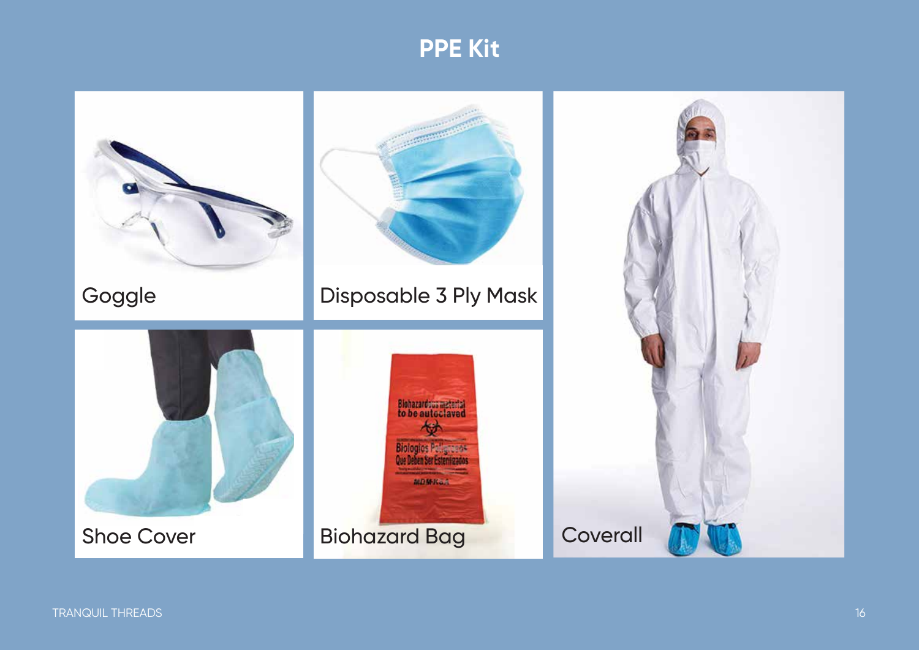#### **PPE Kit**

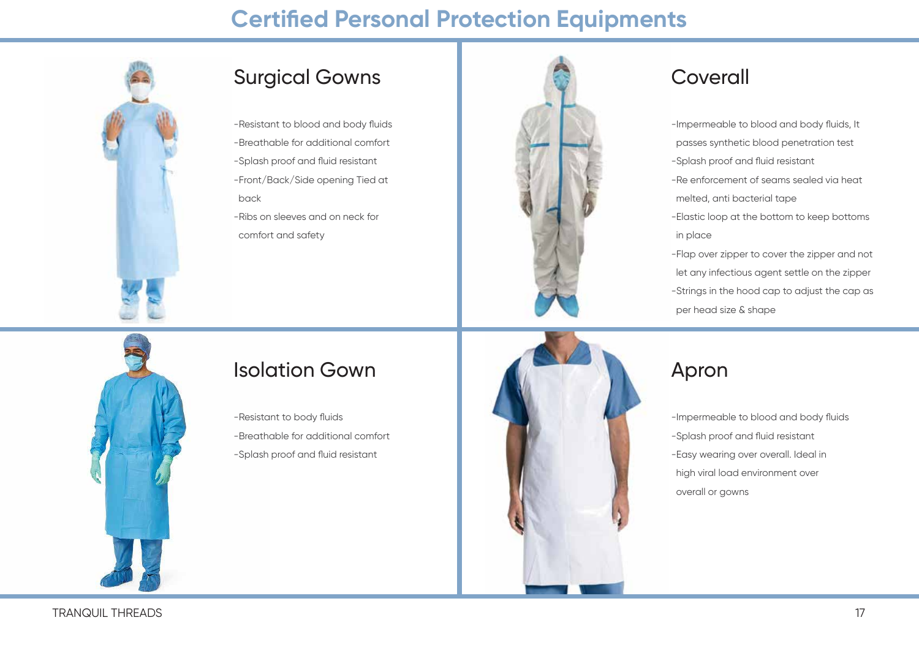#### **Certified Personal Protection Equipments**



#### Surgical Gowns

- -Resistant to blood and body fluids -Breathable for additional comfort -Splash proof and fluid resistant -Front/Back/Side opening Tied at
- back
- -Ribs on sleeves and on neck for comfort and safety



#### Coverall

-Impermeable to blood and body fluids, It passes synthetic blood penetration test -Splash proof and fluid resistant -Re enforcement of seams sealed via heat melted, anti bacterial tape -Elastic loop at the bottom to keep bottoms in place -Flap over zipper to cover the zipper and not let any infectious agent settle on the zipper -Strings in the hood cap to adjust the cap as per head size & shape



#### Isolation Gown

- -Resistant to body fluids
- -Breathable for additional comfort
- -Splash proof and fluid resistant



#### Apron

-Impermeable to blood and body fluids -Splash proof and fluid resistant -Easy wearing over overall. Ideal in high viral load environment over overall or gowns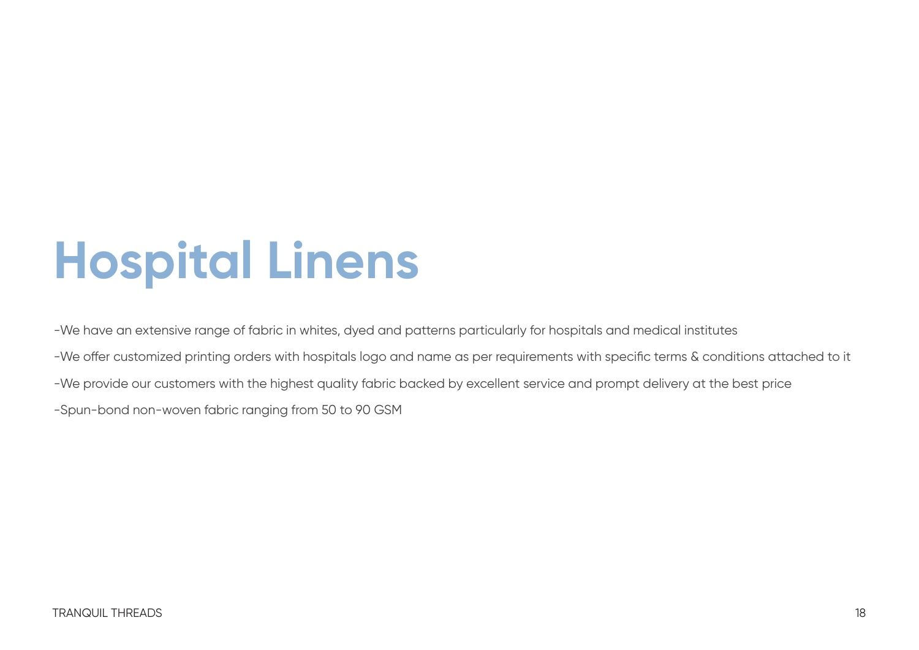# **Hospital Linens**

-We have an extensive range of fabric in whites, dyed and patterns particularly for hospitals and medical institutes -We offer customized printing orders with hospitals logo and name as per requirements with specific terms & conditions attached to it -We provide our customers with the highest quality fabric backed by excellent service and prompt delivery at the best price -Spun-bond non-woven fabric ranging from 50 to 90 GSM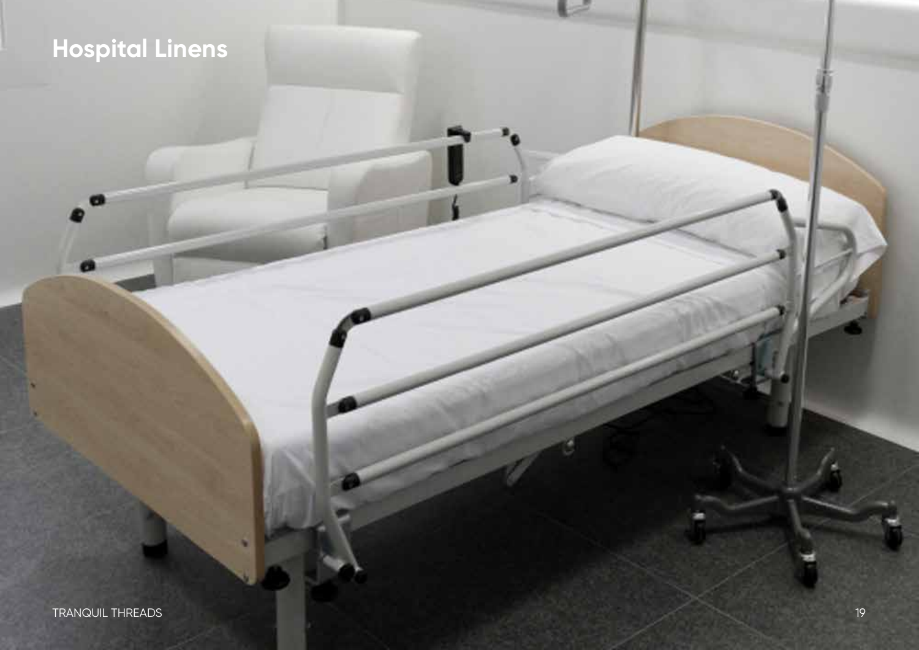### Hospital Linens

**C** 

œ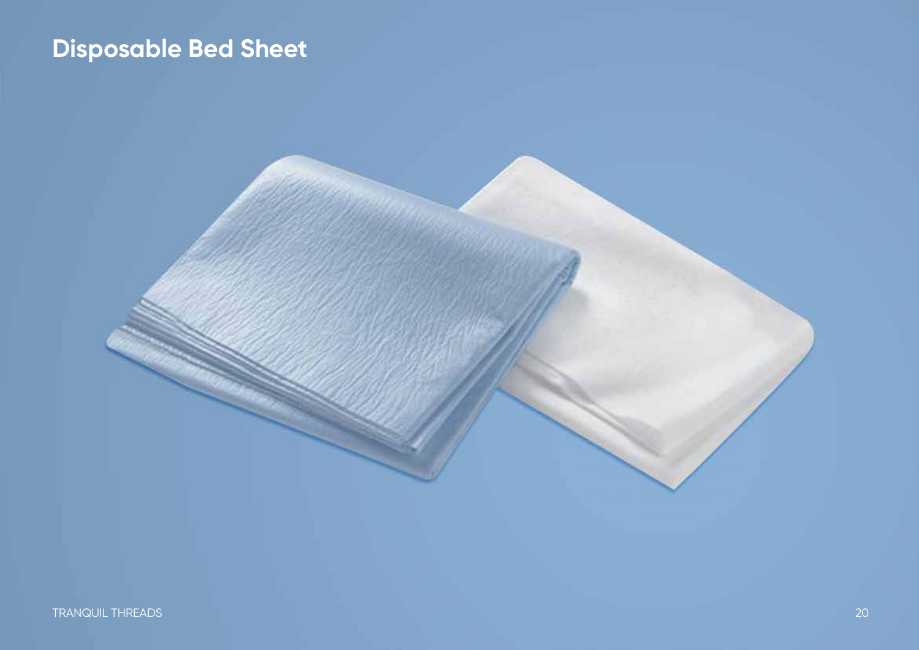### **Disposable Bed Sheet**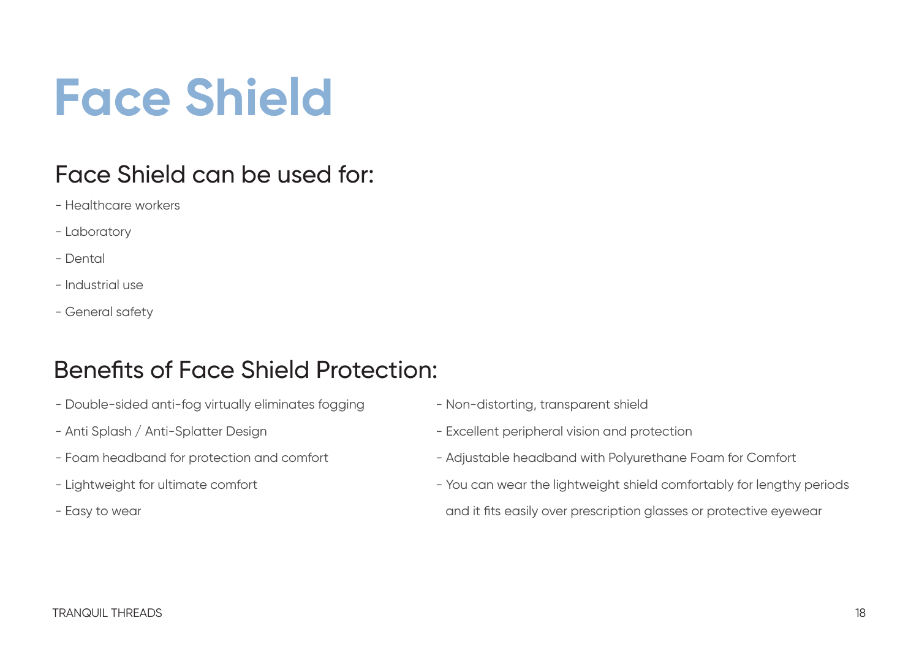# **Face Shield**

### Face Shield can be used for:

- Healthcare workers
- Laboratory
- Dental
- Industrial use
- General safety

### Benefits of Face Shield Protection:

- Double-sided anti-fog virtually eliminates fogging
- Anti Splash / Anti-Splatter Design
- Foam headband for protection and comfort
- Lightweight for ultimate comfort
- Easy to wear
- Non-distorting, transparent shield
- Excellent peripheral vision and protection
- Adjustable headband with Polyurethane Foam for Comfort
- You can wear the lightweight shield comfortably for lengthy periods and it fits easily over prescription glasses or protective eyewear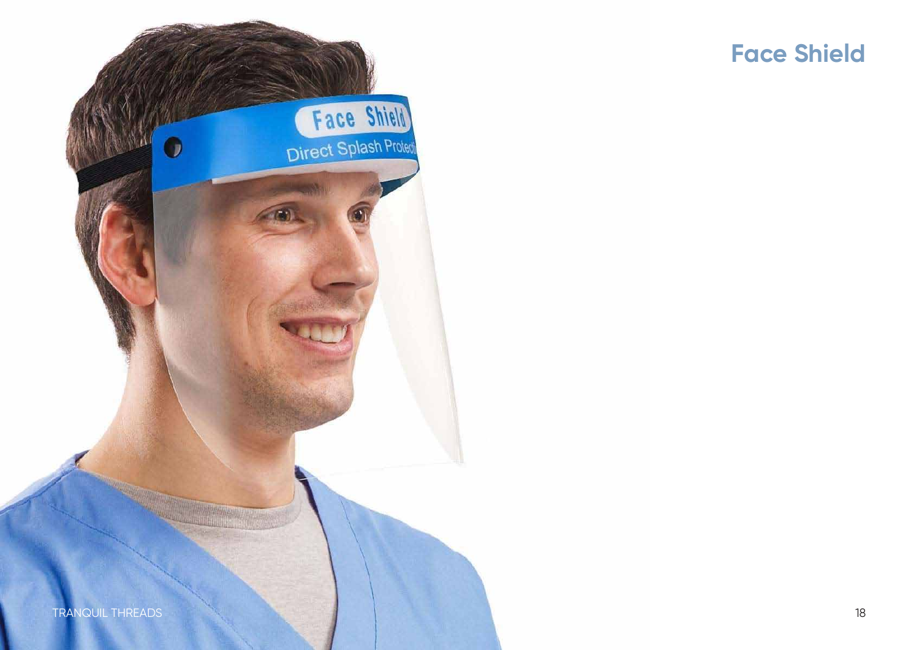



D

Face Shield

Direct Splash Protect